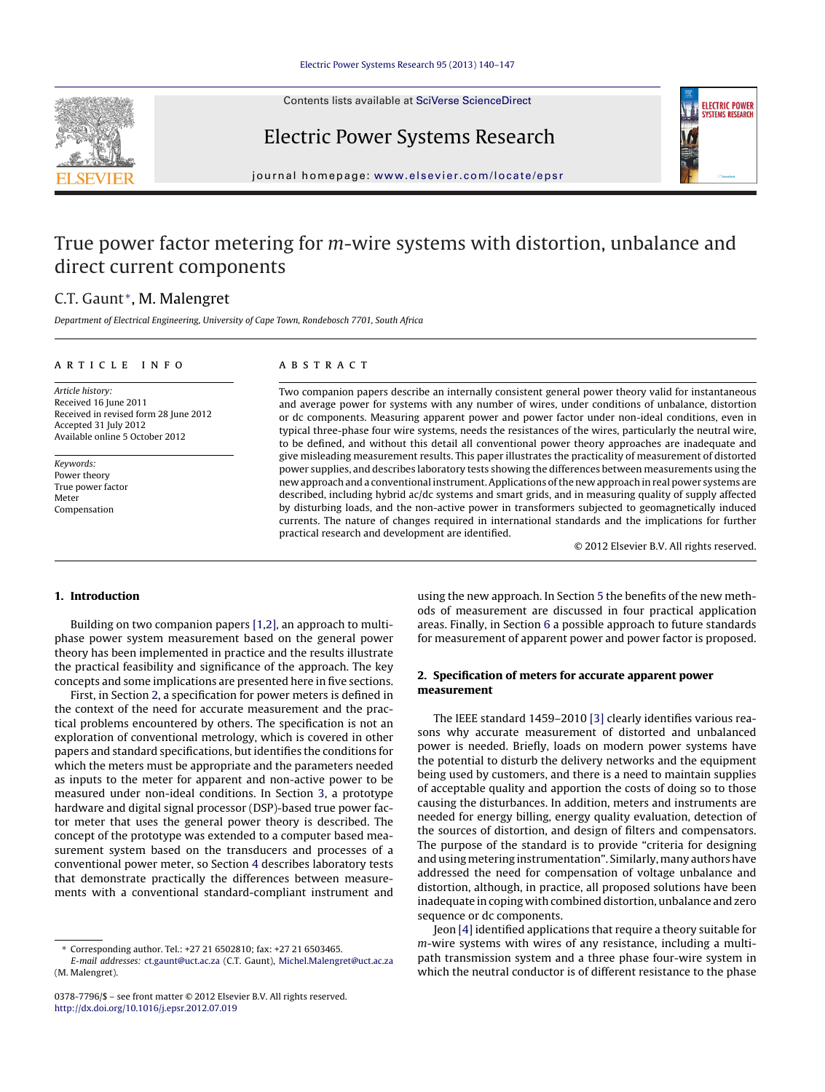Contents lists available at SciVerse [ScienceDirect](http://www.sciencedirect.com/science/journal/03787796)





# Electric Power Systems Research

jour nal homepage: [www.elsevier.com/locate/epsr](http://www.elsevier.com/locate/epsr)

# True power factor metering for *m*-wire systems with distortion, unbalance and direct current components

## C.T. Gaunt<sup>\*</sup>, M. Malengret

Department of Electrical Engineering, University of Cape Town, Rondebosch 7701, South Africa

#### a r t i c l e i n f o

## A B S T R A C T

Article history: Received 16 June 2011 Received in revised form 28 June 2012 Accepted 31 July 2012 Available online 5 October 2012

Keywords: Power theory True power factor Meter Compensation

Two companion papers describe an internally consistent general power theory valid for instantaneous and average power for systems with any number of wires, under conditions of unbalance, distortion or dc components. Measuring apparent power and power factor under non-ideal conditions, even in typical three-phase four wire systems, needs the resistances of the wires, particularly the neutral wire, to be defined, and without this detail all conventional power theory approaches are inadequate and give misleading measurement results. This paper illustrates the practicality of measurement of distorted power supplies, and describes laboratory tests showing the differences between measurements using the new approach and a conventional instrument.Applications ofthe new approach in real power systems are described, including hybrid ac/dc systems and smart grids, and in measuring quality of supply affected by disturbing loads, and the non-active power in transformers subjected to geomagnetically induced currents. The nature of changes required in international standards and the implications for further practical research and development are identified.

© 2012 Elsevier B.V. All rights reserved.

## **1. Introduction**

Building on two companion papers [\[1,2\],](#page--1-0) an approach to multiphase power system measurement based on the general power theory has been implemented in practice and the results illustrate the practical feasibility and significance of the approach. The key concepts and some implications are presented here in five sections.

First, in Section 2, a specification for power meters is defined in the context of the need for accurate measurement and the practical problems encountered by others. The specification is not an exploration of conventional metrology, which is covered in other papers and standard specifications, butidentifies the conditions for which the meters must be appropriate and the parameters needed as inputs to the meter for apparent and non-active power to be measured under non-ideal conditions. In Section [3,](#page-1-0) a prototype hardware and digital signal processor (DSP)-based true power factor meter that uses the general power theory is described. The concept of the prototype was extended to a computer based measurement system based on the transducers and processes of a conventional power meter, so Section [4](#page-1-0) describes laboratory tests that demonstrate practically the differences between measurements with a conventional standard-compliant instrument and using the new approach. In Section [5](#page--1-0) the benefits of the new methods of measurement are discussed in four practical application areas. Finally, in Section [6](#page--1-0) a possible approach to future standards for measurement of apparent power and power factor is proposed.

#### **2. Specification of meters for accurate apparent power measurement**

The IEEE standard 1459–2010 [\[3\]](#page--1-0) clearly identifies various reasons why accurate measurement of distorted and unbalanced power is needed. Briefly, loads on modern power systems have the potential to disturb the delivery networks and the equipment being used by customers, and there is a need to maintain supplies of acceptable quality and apportion the costs of doing so to those causing the disturbances. In addition, meters and instruments are needed for energy billing, energy quality evaluation, detection of the sources of distortion, and design of filters and compensators. The purpose of the standard is to provide "criteria for designing and using metering instrumentation". Similarly, many authors have addressed the need for compensation of voltage unbalance and distortion, although, in practice, all proposed solutions have been inadequate in coping with combined distortion, unbalance and zero sequence or dc components.

Jeon [\[4\]](#page--1-0) identified applications that require a theory suitable for m-wire systems with wires of any resistance, including a multipath transmission system and a three phase four-wire system in which the neutral conductor is of different resistance to the phase

<sup>∗</sup> Corresponding author. Tel.: +27 21 6502810; fax: +27 21 6503465.

E-mail addresses: [ct.gaunt@uct.ac.za](mailto:ct.gaunt@uct.ac.za) (C.T. Gaunt), [Michel.Malengret@uct.ac.za](mailto:Michel.Malengret@uct.ac.za) (M. Malengret).

<sup>0378-7796/\$</sup> – see front matter © 2012 Elsevier B.V. All rights reserved. [http://dx.doi.org/10.1016/j.epsr.2012.07.019](dx.doi.org/10.1016/j.epsr.2012.07.019)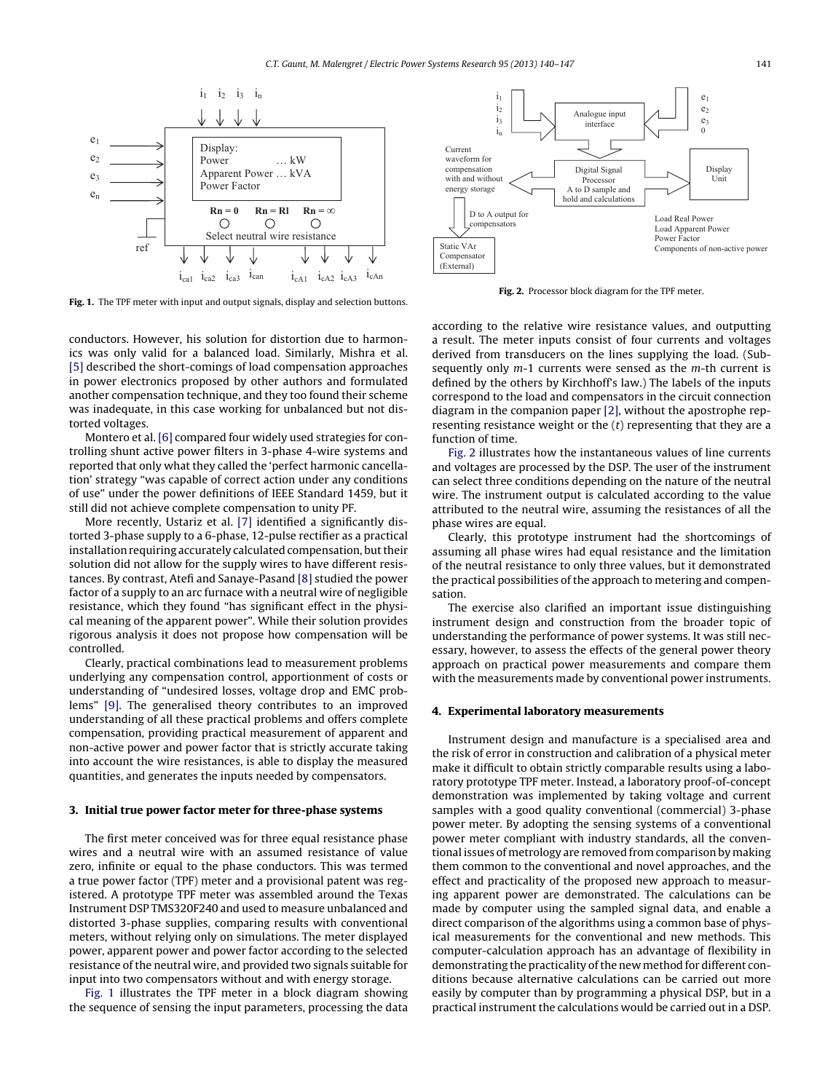<span id="page-1-0"></span>

**Fig. 1.** The TPF meter with input and output signals, display and selection buttons.

conductors. However, his solution for distortion due to harmonics was only valid for a balanced load. Similarly, Mishra et al. [\[5\]](#page--1-0) described the short-comings of load compensation approaches in power electronics proposed by other authors and formulated another compensation technique, and they too found their scheme was inadequate, in this case working for unbalanced but not distorted voltages.

Montero et al. [\[6\]](#page--1-0) compared four widely used strategies for controlling shunt active power filters in 3-phase 4-wire systems and reported that only what they called the 'perfect harmonic cancellation' strategy "was capable of correct action under any conditions of use" under the power definitions of IEEE Standard 1459, but it still did not achieve complete compensation to unity PF.

More recently, Ustariz et al. [\[7\]](#page--1-0) identified a significantly distorted 3-phase supply to a 6-phase, 12-pulse rectifier as a practical installation requiring accurately calculated compensation, but their solution did not allow for the supply wires to have different resistances. By contrast, Atefi and Sanaye-Pasand [\[8\]](#page--1-0) studied the power factor of a supply to an arc furnace with a neutral wire of negligible resistance, which they found "has significant effect in the physical meaning of the apparent power". While their solution provides rigorous analysis it does not propose how compensation will be controlled.

Clearly, practical combinations lead to measurement problems underlying any compensation control, apportionment of costs or understanding of "undesired losses, voltage drop and EMC problems" [\[9\].](#page--1-0) The generalised theory contributes to an improved understanding of all these practical problems and offers complete compensation, providing practical measurement of apparent and non-active power and power factor that is strictly accurate taking into account the wire resistances, is able to display the measured quantities, and generates the inputs needed by compensators.

#### **3. Initial true power factor meter for three-phase systems**

The first meter conceived was for three equal resistance phase wires and a neutral wire with an assumed resistance of value zero, infinite or equal to the phase conductors. This was termed a true power factor (TPF) meter and a provisional patent was registered. A prototype TPF meter was assembled around the Texas Instrument DSP TMS320F240 and used to measure unbalanced and distorted 3-phase supplies, comparing results with conventional meters, without relying only on simulations. The meter displayed power, apparent power and power factor according to the selected resistance of the neutral wire, and provided two signals suitable for input into two compensators without and with energy storage.

Fig. 1 illustrates the TPF meter in a block diagram showing the sequence of sensing the input parameters, processing the data



**Fig. 2.** Processor block diagram for the TPF meter.

according to the relative wire resistance values, and outputting a result. The meter inputs consist of four currents and voltages derived from transducers on the lines supplying the load. (Subsequently only  $m-1$  currents were sensed as the  $m$ -th current is defined by the others by Kirchhoff's law.) The labels of the inputs correspond to the load and compensators in the circuit connection diagram in the companion paper [\[2\],](#page--1-0) without the apostrophe representing resistance weight or the  $(t)$  representing that they are a function of time.

Fig. 2 illustrates how the instantaneous values of line currents and voltages are processed by the DSP. The user of the instrument can select three conditions depending on the nature of the neutral wire. The instrument output is calculated according to the value attributed to the neutral wire, assuming the resistances of all the phase wires are equal.

Clearly, this prototype instrument had the shortcomings of assuming all phase wires had equal resistance and the limitation of the neutral resistance to only three values, but it demonstrated the practical possibilities of the approach to metering and compensation.

The exercise also clarified an important issue distinguishing instrument design and construction from the broader topic of understanding the performance of power systems. It was still necessary, however, to assess the effects of the general power theory approach on practical power measurements and compare them with the measurements made by conventional power instruments.

#### **4. Experimental laboratory measurements**

Instrument design and manufacture is a specialised area and the risk of error in construction and calibration of a physical meter make it difficult to obtain strictly comparable results using a laboratory prototype TPF meter. Instead, a laboratory proof-of-concept demonstration was implemented by taking voltage and current samples with a good quality conventional (commercial) 3-phase power meter. By adopting the sensing systems of a conventional power meter compliant with industry standards, all the conventional issues of metrology are removed from comparison by making them common to the conventional and novel approaches, and the effect and practicality of the proposed new approach to measuring apparent power are demonstrated. The calculations can be made by computer using the sampled signal data, and enable a direct comparison of the algorithms using a common base of physical measurements for the conventional and new methods. This computer-calculation approach has an advantage of flexibility in demonstrating the practicality of the new method for different conditions because alternative calculations can be carried out more easily by computer than by programming a physical DSP, but in a practical instrument the calculations would be carried out in a DSP.